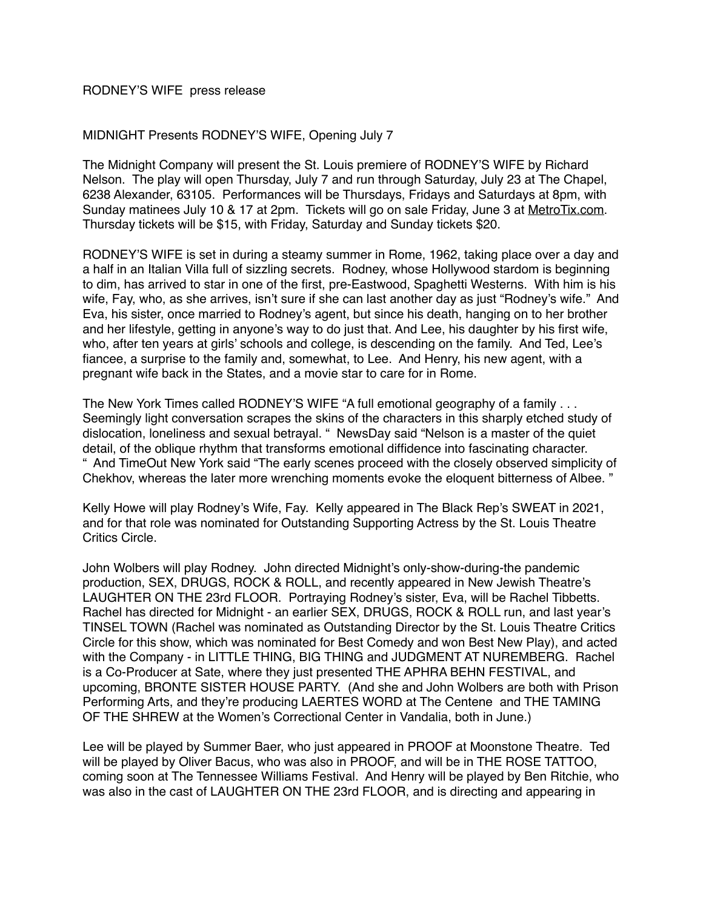## RODNEY'S WIFE press release

## MIDNIGHT Presents RODNEY'S WIFE, Opening July 7

The Midnight Company will present the St. Louis premiere of RODNEY'S WIFE by Richard Nelson. The play will open Thursday, July 7 and run through Saturday, July 23 at The Chapel, 6238 Alexander, 63105. Performances will be Thursdays, Fridays and Saturdays at 8pm, with Sunday matinees July 10 & 17 at 2pm. Tickets will go on sale Friday, June 3 at [MetroTix.com](http://MetroTix.com). Thursday tickets will be \$15, with Friday, Saturday and Sunday tickets \$20.

RODNEY'S WIFE is set in during a steamy summer in Rome, 1962, taking place over a day and a half in an Italian Villa full of sizzling secrets. Rodney, whose Hollywood stardom is beginning to dim, has arrived to star in one of the first, pre-Eastwood, Spaghetti Westerns. With him is his wife, Fay, who, as she arrives, isn't sure if she can last another day as just "Rodney's wife." And Eva, his sister, once married to Rodney's agent, but since his death, hanging on to her brother and her lifestyle, getting in anyone's way to do just that. And Lee, his daughter by his first wife, who, after ten years at girls' schools and college, is descending on the family. And Ted, Lee's fiancee, a surprise to the family and, somewhat, to Lee. And Henry, his new agent, with a pregnant wife back in the States, and a movie star to care for in Rome.

The New York Times called RODNEY'S WIFE "A full emotional geography of a family . . . Seemingly light conversation scrapes the skins of the characters in this sharply etched study of dislocation, loneliness and sexual betrayal. " NewsDay said "Nelson is a master of the quiet detail, of the oblique rhythm that transforms emotional diffidence into fascinating character. " And TimeOut New York said "The early scenes proceed with the closely observed simplicity of Chekhov, whereas the later more wrenching moments evoke the eloquent bitterness of Albee. "

Kelly Howe will play Rodney's Wife, Fay. Kelly appeared in The Black Rep's SWEAT in 2021, and for that role was nominated for Outstanding Supporting Actress by the St. Louis Theatre Critics Circle.

John Wolbers will play Rodney. John directed Midnight's only-show-during-the pandemic production, SEX, DRUGS, ROCK & ROLL, and recently appeared in New Jewish Theatre's LAUGHTER ON THE 23rd FLOOR. Portraying Rodney's sister, Eva, will be Rachel Tibbetts. Rachel has directed for Midnight - an earlier SEX, DRUGS, ROCK & ROLL run, and last year's TINSEL TOWN (Rachel was nominated as Outstanding Director by the St. Louis Theatre Critics Circle for this show, which was nominated for Best Comedy and won Best New Play), and acted with the Company - in LITTLE THING, BIG THING and JUDGMENT AT NUREMBERG. Rachel is a Co-Producer at Sate, where they just presented THE APHRA BEHN FESTIVAL, and upcoming, BRONTE SISTER HOUSE PARTY. (And she and John Wolbers are both with Prison Performing Arts, and they're producing LAERTES WORD at The Centene and THE TAMING OF THE SHREW at the Women's Correctional Center in Vandalia, both in June.)

Lee will be played by Summer Baer, who just appeared in PROOF at Moonstone Theatre. Ted will be played by Oliver Bacus, who was also in PROOF, and will be in THE ROSE TATTOO, coming soon at The Tennessee Williams Festival. And Henry will be played by Ben Ritchie, who was also in the cast of LAUGHTER ON THE 23rd FLOOR, and is directing and appearing in